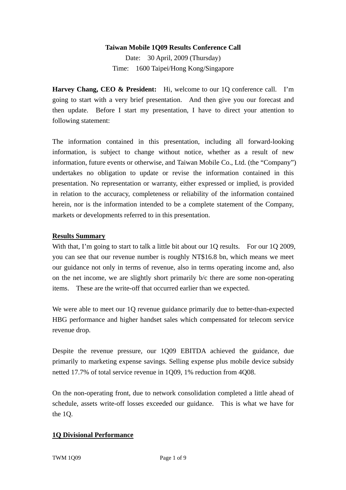### **Taiwan Mobile 1Q09 Results Conference Call**

Date: 30 April, 2009 (Thursday) Time: 1600 Taipei/Hong Kong/Singapore

**Harvey Chang, CEO & President:** Hi, welcome to our 1Q conference call. I'm going to start with a very brief presentation. And then give you our forecast and then update. Before I start my presentation, I have to direct your attention to following statement:

The information contained in this presentation, including all forward-looking information, is subject to change without notice, whether as a result of new information, future events or otherwise, and Taiwan Mobile Co., Ltd. (the "Company") undertakes no obligation to update or revise the information contained in this presentation. No representation or warranty, either expressed or implied, is provided in relation to the accuracy, completeness or reliability of the information contained herein, nor is the information intended to be a complete statement of the Company, markets or developments referred to in this presentation.

### **Results Summary**

With that, I'm going to start to talk a little bit about our 10 results. For our 10 2009, you can see that our revenue number is roughly NT\$16.8 bn, which means we meet our guidance not only in terms of revenue, also in terms operating income and, also on the net income, we are slightly short primarily b/c there are some non-operating items. These are the write-off that occurred earlier than we expected.

We were able to meet our 1Q revenue guidance primarily due to better-than-expected HBG performance and higher handset sales which compensated for telecom service revenue drop.

Despite the revenue pressure, our 1Q09 EBITDA achieved the guidance, due primarily to marketing expense savings. Selling expense plus mobile device subsidy netted 17.7% of total service revenue in 1Q09, 1% reduction from 4Q08.

On the non-operating front, due to network consolidation completed a little ahead of schedule, assets write-off losses exceeded our guidance. This is what we have for the 1Q.

### **1Q Divisional Performance**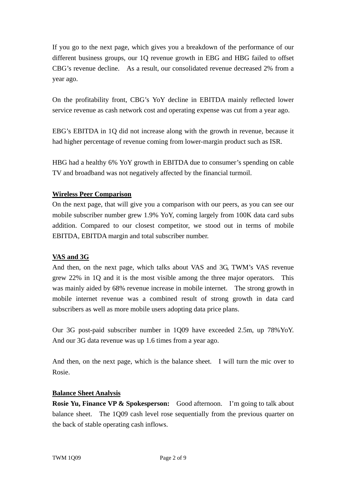If you go to the next page, which gives you a breakdown of the performance of our different business groups, our 1Q revenue growth in EBG and HBG failed to offset CBG's revenue decline. As a result, our consolidated revenue decreased 2% from a year ago.

On the profitability front, CBG's YoY decline in EBITDA mainly reflected lower service revenue as cash network cost and operating expense was cut from a year ago.

EBG's EBITDA in 1Q did not increase along with the growth in revenue, because it had higher percentage of revenue coming from lower-margin product such as ISR.

HBG had a healthy 6% YoY growth in EBITDA due to consumer's spending on cable TV and broadband was not negatively affected by the financial turmoil.

## **Wireless Peer Comparison**

On the next page, that will give you a comparison with our peers, as you can see our mobile subscriber number grew 1.9% YoY, coming largely from 100K data card subs addition. Compared to our closest competitor, we stood out in terms of mobile EBITDA, EBITDA margin and total subscriber number.

## **VAS and 3G**

And then, on the next page, which talks about VAS and 3G, TWM's VAS revenue grew 22% in 1Q and it is the most visible among the three major operators. This was mainly aided by 68% revenue increase in mobile internet. The strong growth in mobile internet revenue was a combined result of strong growth in data card subscribers as well as more mobile users adopting data price plans.

Our 3G post-paid subscriber number in 1Q09 have exceeded 2.5m, up 78%YoY. And our 3G data revenue was up 1.6 times from a year ago.

And then, on the next page, which is the balance sheet. I will turn the mic over to Rosie.

### **Balance Sheet Analysis**

**Rosie Yu, Finance VP & Spokesperson:** Good afternoon. I'm going to talk about balance sheet. The 1Q09 cash level rose sequentially from the previous quarter on the back of stable operating cash inflows.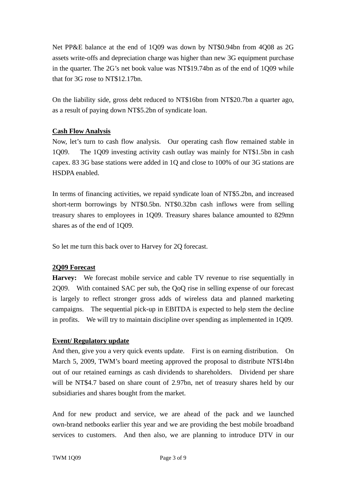Net PP&E balance at the end of 1Q09 was down by NT\$0.94bn from 4Q08 as 2G assets write-offs and depreciation charge was higher than new 3G equipment purchase in the quarter. The 2G's net book value was NT\$19.74bn as of the end of 1Q09 while that for 3G rose to NT\$12.17bn.

On the liability side, gross debt reduced to NT\$16bn from NT\$20.7bn a quarter ago, as a result of paying down NT\$5.2bn of syndicate loan.

## **Cash Flow Analysis**

Now, let's turn to cash flow analysis. Our operating cash flow remained stable in 1Q09. The 1Q09 investing activity cash outlay was mainly for NT\$1.5bn in cash capex. 83 3G base stations were added in 1Q and close to 100% of our 3G stations are HSDPA enabled.

In terms of financing activities, we repaid syndicate loan of NT\$5.2bn, and increased short-term borrowings by NT\$0.5bn. NT\$0.32bn cash inflows were from selling treasury shares to employees in 1Q09. Treasury shares balance amounted to 829mn shares as of the end of 1Q09.

So let me turn this back over to Harvey for 2Q forecast.

## **2Q09 Forecast**

**Harvey:** We forecast mobile service and cable TV revenue to rise sequentially in 2Q09. With contained SAC per sub, the QoQ rise in selling expense of our forecast is largely to reflect stronger gross adds of wireless data and planned marketing campaigns. The sequential pick-up in EBITDA is expected to help stem the decline in profits. We will try to maintain discipline over spending as implemented in 1Q09.

### **Event/ Regulatory update**

And then, give you a very quick events update. First is on earning distribution. On March 5, 2009, TWM's board meeting approved the proposal to distribute NT\$14bn out of our retained earnings as cash dividends to shareholders. Dividend per share will be NT\$4.7 based on share count of 2.97bn, net of treasury shares held by our subsidiaries and shares bought from the market.

And for new product and service, we are ahead of the pack and we launched own-brand netbooks earlier this year and we are providing the best mobile broadband services to customers. And then also, we are planning to introduce DTV in our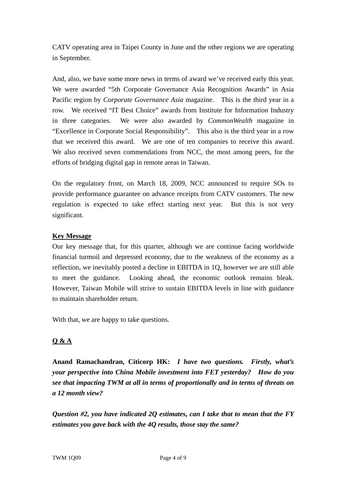CATV operating area in Taipei County in June and the other regions we are operating in September.

And, also, we have some more news in terms of award we've received early this year. We were awarded "5th Corporate Governance Asia Recognition Awards" in Asia Pacific region by *Corporate Governance Asia* magazine. This is the third year in a row. We received "IT Best Choice" awards from Institute for Information Industry in three categories. We were also awarded by *CommonWealth* magazine in "Excellence in Corporate Social Responsibility". This also is the third year in a row that we received this award. We are one of ten companies to receive this award. We also received seven commendations from NCC, the most among peers, for the efforts of bridging digital gap in remote areas in Taiwan.

On the regulatory front, on March 18, 2009, NCC announced to require SOs to provide performance guarantee on advance receipts from CATV customers. The new regulation is expected to take effect starting next year. But this is not very significant.

## **Key Message**

Our key message that, for this quarter, although we are continue facing worldwide financial turmoil and depressed economy, due to the weakness of the economy as a reflection, we inevitably posted a decline in EBITDA in 1Q, however we are still able to meet the guidance. Looking ahead, the economic outlook remains bleak. However, Taiwan Mobile will strive to sustain EBITDA levels in line with guidance to maintain shareholder return.

With that, we are happy to take questions.

# **Q & A**

**Anand Ramachandran, Citicorp HK:** *I have two questions. Firstly, what's your perspective into China Mobile investment into FET yesterday? How do you see that impacting TWM at all in terms of proportionally and in terms of threats on a 12 month view?* 

*Question #2, you have indicated 2Q estimates, can I take that to mean that the FY estimates you gave back with the 4Q results, those stay the same?*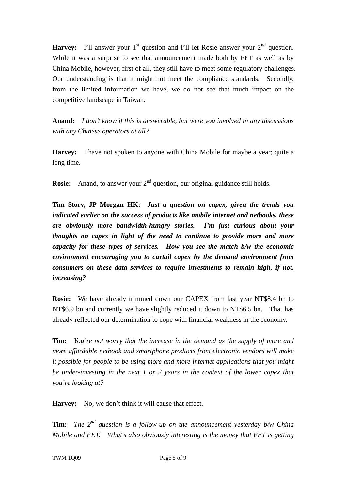**Harvey:** I'll answer your  $1<sup>st</sup>$  question and I'll let Rosie answer your  $2<sup>nd</sup>$  question. While it was a surprise to see that announcement made both by FET as well as by China Mobile, however, first of all, they still have to meet some regulatory challenges. Our understanding is that it might not meet the compliance standards. Secondly, from the limited information we have, we do not see that much impact on the competitive landscape in Taiwan.

**Anand:** *I don't know if this is answerable, but were you involved in any discussions with any Chinese operators at all?*

**Harvey:** I have not spoken to anyone with China Mobile for maybe a year; quite a long time.

**Rosie:** Anand, to answer your 2<sup>nd</sup> question, our original guidance still holds.

**Tim Story, JP Morgan HK:** *Just a question on capex, given the trends you indicated earlier on the success of products like mobile internet and netbooks, these are obviously more bandwidth-hungry stories. I'm just curious about your thoughts on capex in light of the need to continue to provide more and more capacity for these types of services. How you see the match b/w the economic environment encouraging you to curtail capex by the demand environment from consumers on these data services to require investments to remain high, if not, increasing?* 

**Rosie:** We have already trimmed down our CAPEX from last year NT\$8.4 bn to NT\$6.9 bn and currently we have slightly reduced it down to NT\$6.5 bn. That has already reflected our determination to cope with financial weakness in the economy.

**Tim:** *You're not worry that the increase in the demand as the supply of more and more affordable netbook and smartphone products from electronic vendors will make it possible for people to be using more and more internet applications that you might be under-investing in the next 1 or 2 years in the context of the lower capex that you're looking at?*

Harvey: No, we don't think it will cause that effect.

**Tim:** *The 2nd question is a follow-up on the announcement yesterday b/w China Mobile and FET. What's also obviously interesting is the money that FET is getting*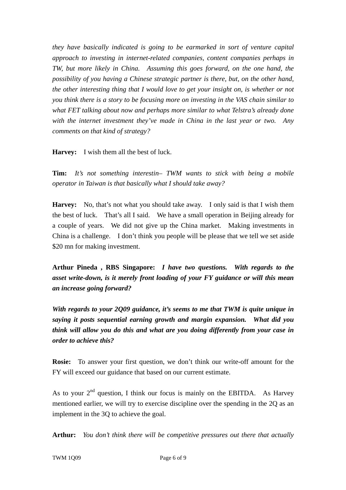*they have basically indicated is going to be earmarked in sort of venture capital approach to investing in internet-related companies, content companies perhaps in TW, but more likely in China. Assuming this goes forward, on the one hand, the possibility of you having a Chinese strategic partner is there, but, on the other hand, the other interesting thing that I would love to get your insight on, is whether or not you think there is a story to be focusing more on investing in the VAS chain similar to what FET talking about now and perhaps more similar to what Telstra's already done with the internet investment they've made in China in the last year or two. Any comments on that kind of strategy?*

**Harvey:** I wish them all the best of luck.

**Tim:** *It's not something interestin– TWM wants to stick with being a mobile operator in Taiwan is that basically what I should take away?*

**Harvey:** No, that's not what you should take away. I only said is that I wish them the best of luck. That's all I said. We have a small operation in Beijing already for a couple of years. We did not give up the China market. Making investments in China is a challenge. I don't think you people will be please that we tell we set aside \$20 mn for making investment.

**Arthur Pineda , RBS Singapore:** *I have two questions. With regards to the asset write-down, is it merely front loading of your FY guidance or will this mean an increase going forward?* 

*With regards to your 2Q09 guidance, it's seems to me that TWM is quite unique in saying it posts sequential earning growth and margin expansion. What did you think will allow you do this and what are you doing differently from your case in order to achieve this?* 

**Rosie:** To answer your first question, we don't think our write-off amount for the FY will exceed our guidance that based on our current estimate.

As to your  $2^{nd}$  question, I think our focus is mainly on the EBITDA. As Harvey mentioned earlier, we will try to exercise discipline over the spending in the 2Q as an implement in the 3Q to achieve the goal.

**Arthur:** *You don't think there will be competitive pressures out there that actually*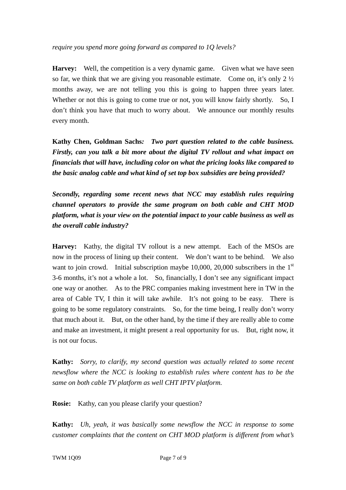*require you spend more going forward as compared to 1Q levels?*

**Harvey:** Well, the competition is a very dynamic game. Given what we have seen so far, we think that we are giving you reasonable estimate. Come on, it's only  $2\frac{1}{2}$ months away, we are not telling you this is going to happen three years later. Whether or not this is going to come true or not, you will know fairly shortly. So, I don't think you have that much to worry about. We announce our monthly results every month.

**Kathy Chen, Goldman Sachs***: Two part question related to the cable business. Firstly, can you talk a bit more about the digital TV rollout and what impact on financials that will have, including color on what the pricing looks like compared to the basic analog cable and what kind of set top box subsidies are being provided?* 

*Secondly, regarding some recent news that NCC may establish rules requiring channel operators to provide the same program on both cable and CHT MOD platform, what is your view on the potential impact to your cable business as well as the overall cable industry?* 

**Harvey:** Kathy, the digital TV rollout is a new attempt. Each of the MSOs are now in the process of lining up their content. We don't want to be behind. We also want to join crowd. Initial subscription maybe  $10,000, 20,000$  subscribers in the  $1<sup>st</sup>$ 3-6 months, it's not a whole a lot. So, financially, I don't see any significant impact one way or another. As to the PRC companies making investment here in TW in the area of Cable TV, I thin it will take awhile. It's not going to be easy. There is going to be some regulatory constraints. So, for the time being, I really don't worry that much about it. But, on the other hand, by the time if they are really able to come and make an investment, it might present a real opportunity for us. But, right now, it is not our focus.

**Kathy:** *Sorry, to clarify, my second question was actually related to some recent newsflow where the NCC is looking to establish rules where content has to be the same on both cable TV platform as well CHT IPTV platform.*

**Rosie:** Kathy, can you please clarify your question?

**Kathy:** *Uh, yeah, it was basically some newsflow the NCC in response to some customer complaints that the content on CHT MOD platform is different from what's*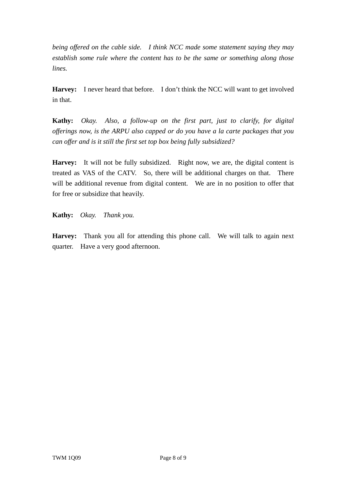*being offered on the cable side. I think NCC made some statement saying they may establish some rule where the content has to be the same or something along those lines.*

**Harvey:** I never heard that before. I don't think the NCC will want to get involved in that.

**Kathy:** *Okay. Also, a follow-up on the first part, just to clarify, for digital offerings now, is the ARPU also capped or do you have a la carte packages that you can offer and is it still the first set top box being fully subsidized?*

**Harvey:** It will not be fully subsidized. Right now, we are, the digital content is treated as VAS of the CATV. So, there will be additional charges on that. There will be additional revenue from digital content. We are in no position to offer that for free or subsidize that heavily.

**Kathy:** *Okay. Thank you.*

**Harvey:** Thank you all for attending this phone call. We will talk to again next quarter. Have a very good afternoon.